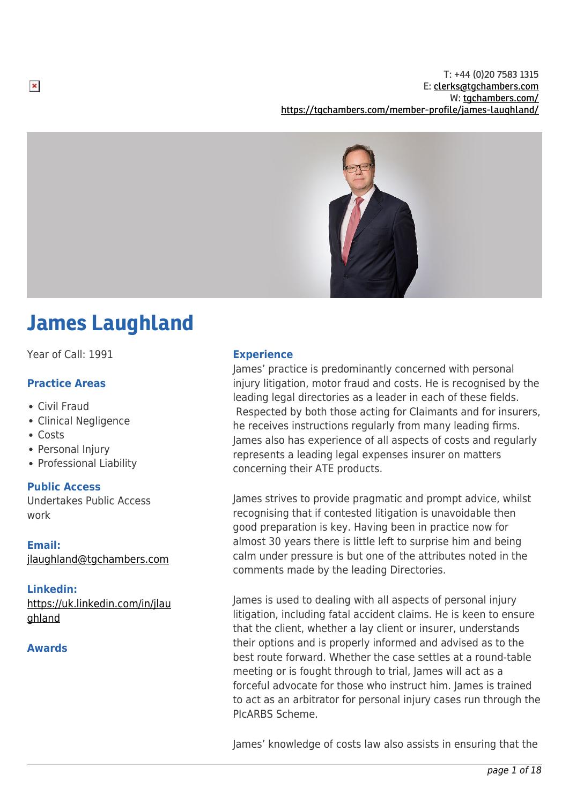T: +44 (0)20 7583 1315 E: [clerks@tgchambers.com](mailto:clerks@tgchambers.com) W: [tgchambers.com/](http://tgchambers.com/) <https://tgchambers.com/member-profile/james-laughland/>



# James Laughland

Year of Call: 1991

# **Practice Areas**

- Civil Fraud
- Clinical Negligence
- Costs
- Personal Injury
- Professional Liability

# **Public Access**

Undertakes Public Access work

# **Email:**

[jlaughland@tgchambers.com](mailto:jlaughland@tgchambers.com)

# **Linkedin:**

[https://uk.linkedin.com/in/jlau](https://uk.linkedin.com/in/jlaughland) [ghland](https://uk.linkedin.com/in/jlaughland)

# **Awards**

# **Experience**

James' practice is predominantly concerned with personal injury litigation, motor fraud and costs. He is recognised by the leading legal directories as a leader in each of these fields. Respected by both those acting for Claimants and for insurers, he receives instructions regularly from many leading firms. James also has experience of all aspects of costs and regularly represents a leading legal expenses insurer on matters concerning their ATE products.

James strives to provide pragmatic and prompt advice, whilst recognising that if contested litigation is unavoidable then good preparation is key. Having been in practice now for almost 30 years there is little left to surprise him and being calm under pressure is but one of the attributes noted in the comments made by the leading Directories.

James is used to dealing with all aspects of personal injury litigation, including fatal accident claims. He is keen to ensure that the client, whether a lay client or insurer, understands their options and is properly informed and advised as to the best route forward. Whether the case settles at a round-table meeting or is fought through to trial, James will act as a forceful advocate for those who instruct him. James is trained to act as an arbitrator for personal injury cases run through the PIcARBS Scheme.

James' knowledge of costs law also assists in ensuring that the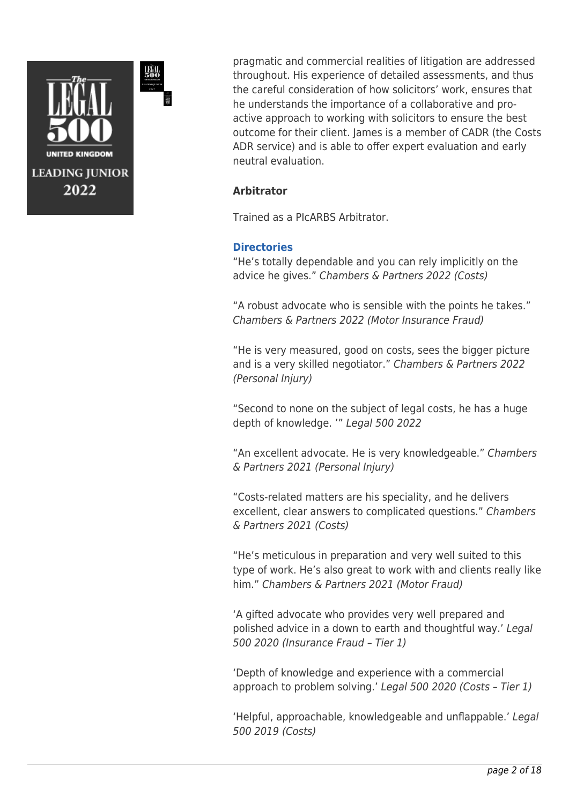

pragmatic and commercial realities of litigation are addressed throughout. His experience of detailed assessments, and thus the careful consideration of how solicitors' work, ensures that he understands the importance of a collaborative and proactive approach to working with solicitors to ensure the best outcome for their client. James is a member of CADR (the Costs ADR service) and is able to offer expert evaluation and early neutral evaluation.

# **Arbitrator**

Trained as a PIcARBS Arbitrator.

# **Directories**

"He's totally dependable and you can rely implicitly on the advice he gives." Chambers & Partners 2022 (Costs)

"A robust advocate who is sensible with the points he takes." Chambers & Partners 2022 (Motor Insurance Fraud)

"He is very measured, good on costs, sees the bigger picture and is a very skilled negotiator." Chambers & Partners 2022 (Personal Injury)

"Second to none on the subject of legal costs, he has a huge depth of knowledge. '" Legal 500 2022

"An excellent advocate. He is very knowledgeable." Chambers & Partners 2021 (Personal Injury)

"Costs-related matters are his speciality, and he delivers excellent, clear answers to complicated questions." Chambers & Partners 2021 (Costs)

"He's meticulous in preparation and very well suited to this type of work. He's also great to work with and clients really like him." Chambers & Partners 2021 (Motor Fraud)

'A gifted advocate who provides very well prepared and polished advice in a down to earth and thoughtful way.' Legal 500 2020 (Insurance Fraud – Tier 1)

'Depth of knowledge and experience with a commercial approach to problem solving.' Legal 500 2020 (Costs – Tier 1)

'Helpful, approachable, knowledgeable and unflappable.' Legal 500 2019 (Costs)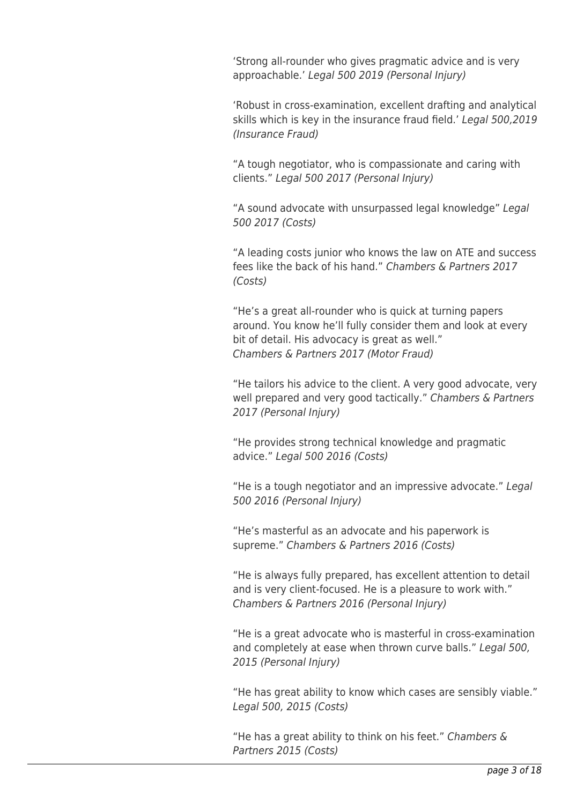'Strong all-rounder who gives pragmatic advice and is very approachable.' Legal 500 2019 (Personal Injury)

'Robust in cross-examination, excellent drafting and analytical skills which is key in the insurance fraud field.' Legal 500,2019 (Insurance Fraud)

"A tough negotiator, who is compassionate and caring with clients." Legal 500 2017 (Personal Injury)

"A sound advocate with unsurpassed legal knowledge" Legal 500 2017 (Costs)

"A leading costs junior who knows the law on ATE and success fees like the back of his hand." Chambers & Partners 2017 (Costs)

"He's a great all-rounder who is quick at turning papers around. You know he'll fully consider them and look at every bit of detail. His advocacy is great as well." Chambers & Partners 2017 (Motor Fraud)

"He tailors his advice to the client. A very good advocate, very well prepared and very good tactically." Chambers & Partners 2017 (Personal Injury)

"He provides strong technical knowledge and pragmatic advice." Legal 500 2016 (Costs)

"He is a tough negotiator and an impressive advocate." Legal 500 2016 (Personal Injury)

"He's masterful as an advocate and his paperwork is supreme." Chambers & Partners 2016 (Costs)

"He is always fully prepared, has excellent attention to detail and is very client-focused. He is a pleasure to work with." Chambers & Partners 2016 (Personal Injury)

"He is a great advocate who is masterful in cross-examination and completely at ease when thrown curve balls." Legal 500, 2015 (Personal Injury)

"He has great ability to know which cases are sensibly viable." Legal 500, 2015 (Costs)

"He has a great ability to think on his feet." Chambers & Partners 2015 (Costs)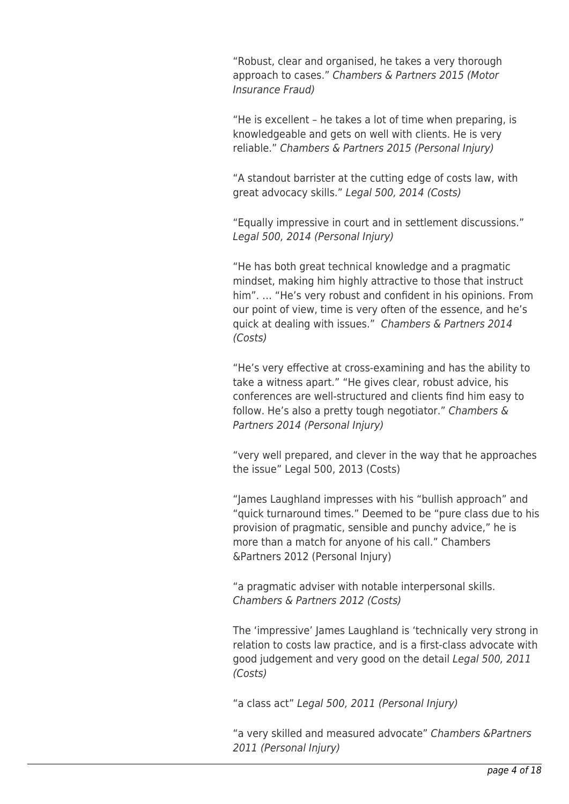"Robust, clear and organised, he takes a very thorough approach to cases." Chambers & Partners 2015 (Motor Insurance Fraud)

"He is excellent – he takes a lot of time when preparing, is knowledgeable and gets on well with clients. He is very reliable." Chambers & Partners 2015 (Personal Injury)

"A standout barrister at the cutting edge of costs law, with great advocacy skills." Legal 500, 2014 (Costs)

"Equally impressive in court and in settlement discussions." Legal 500, 2014 (Personal Injury)

"He has both great technical knowledge and a pragmatic mindset, making him highly attractive to those that instruct him". … "He's very robust and confident in his opinions. From our point of view, time is very often of the essence, and he's quick at dealing with issues." Chambers & Partners 2014 (Costs)

"He's very effective at cross-examining and has the ability to take a witness apart." "He gives clear, robust advice, his conferences are well-structured and clients find him easy to follow. He's also a pretty tough negotiator." Chambers & Partners 2014 (Personal Injury)

"very well prepared, and clever in the way that he approaches the issue" Legal 500, 2013 (Costs)

"James Laughland impresses with his "bullish approach" and "quick turnaround times." Deemed to be "pure class due to his provision of pragmatic, sensible and punchy advice," he is more than a match for anyone of his call." Chambers &Partners 2012 (Personal Injury)

"a pragmatic adviser with notable interpersonal skills. Chambers & Partners 2012 (Costs)

The 'impressive' James Laughland is 'technically very strong in relation to costs law practice, and is a first-class advocate with good judgement and very good on the detail Legal 500, 2011 (Costs)

"a class act" Legal 500, 2011 (Personal Injury)

"a very skilled and measured advocate" Chambers &Partners 2011 (Personal Injury)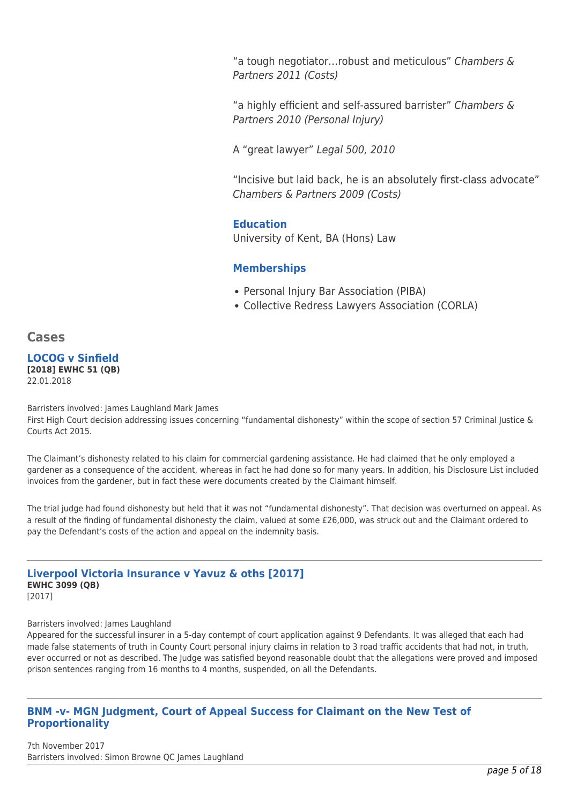"a tough negotiator…robust and meticulous" Chambers & Partners 2011 (Costs)

"a highly efficient and self-assured barrister" Chambers & Partners 2010 (Personal Injury)

A "great lawyer" Legal 500, 2010

"Incisive but laid back, he is an absolutely first-class advocate" Chambers & Partners 2009 (Costs)

### **Education**

University of Kent, BA (Hons) Law

# **Memberships**

- Personal Injury Bar Association (PIBA)
- Collective Redress Lawyers Association (CORLA)

# **Cases**

#### **LOCOG v Sinfield [2018] EWHC 51 (QB)** 22.01.2018

Barristers involved: James Laughland Mark James

First High Court decision addressing issues concerning "fundamental dishonesty" within the scope of section 57 Criminal Justice & Courts Act 2015.

The Claimant's dishonesty related to his claim for commercial gardening assistance. He had claimed that he only employed a gardener as a consequence of the accident, whereas in fact he had done so for many years. In addition, his Disclosure List included invoices from the gardener, but in fact these were documents created by the Claimant himself.

The trial judge had found dishonesty but held that it was not "fundamental dishonesty". That decision was overturned on appeal. As a result of the finding of fundamental dishonesty the claim, valued at some £26,000, was struck out and the Claimant ordered to pay the Defendant's costs of the action and appeal on the indemnity basis.

# **Liverpool Victoria Insurance v Yavuz & oths [2017] EWHC 3099 (QB)**

[2017]

#### Barristers involved: James Laughland

Appeared for the successful insurer in a 5-day contempt of court application against 9 Defendants. It was alleged that each had made false statements of truth in County Court personal injury claims in relation to 3 road traffic accidents that had not, in truth, ever occurred or not as described. The Judge was satisfied beyond reasonable doubt that the allegations were proved and imposed prison sentences ranging from 16 months to 4 months, suspended, on all the Defendants.

# **BNM -v- MGN Judgment, Court of Appeal Success for Claimant on the New Test of Proportionality**

7th November 2017 Barristers involved: Simon Browne QC James Laughland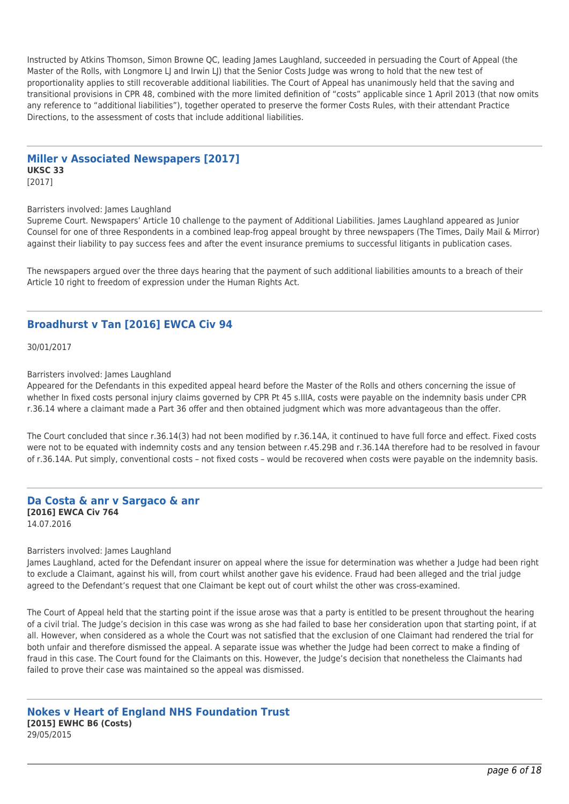Instructed by Atkins Thomson, Simon Browne QC, leading James Laughland, succeeded in persuading the Court of Appeal (the Master of the Rolls, with Longmore LJ and Irwin LJ) that the Senior Costs Judge was wrong to hold that the new test of proportionality applies to still recoverable additional liabilities. The Court of Appeal has unanimously held that the saving and transitional provisions in CPR 48, combined with the more limited definition of "costs" applicable since 1 April 2013 (that now omits any reference to "additional liabilities"), together operated to preserve the former Costs Rules, with their attendant Practice Directions, to the assessment of costs that include additional liabilities.

#### **Miller v Associated Newspapers [2017] UKSC 33**

[2017]

#### Barristers involved: James Laughland

Supreme Court. Newspapers' Article 10 challenge to the payment of Additional Liabilities. James Laughland appeared as Junior Counsel for one of three Respondents in a combined leap-frog appeal brought by three newspapers (The Times, Daily Mail & Mirror) against their liability to pay success fees and after the event insurance premiums to successful litigants in publication cases.

The newspapers argued over the three days hearing that the payment of such additional liabilities amounts to a breach of their Article 10 right to freedom of expression under the Human Rights Act.

# **Broadhurst v Tan [2016] EWCA Civ 94**

30/01/2017

Barristers involved: James Laughland

Appeared for the Defendants in this expedited appeal heard before the Master of the Rolls and others concerning the issue of whether In fixed costs personal injury claims governed by CPR Pt 45 s.IIIA, costs were payable on the indemnity basis under CPR r.36.14 where a claimant made a Part 36 offer and then obtained judgment which was more advantageous than the offer.

The Court concluded that since r.36.14(3) had not been modified by r.36.14A, it continued to have full force and effect. Fixed costs were not to be equated with indemnity costs and any tension between r.45.29B and r.36.14A therefore had to be resolved in favour of r.36.14A. Put simply, conventional costs – not fixed costs – would be recovered when costs were payable on the indemnity basis.

#### **Da Costa & anr v Sargaco & anr [2016] EWCA Civ 764** 14.07.2016

#### Barristers involved: James Laughland

James Laughland, acted for the Defendant insurer on appeal where the issue for determination was whether a Judge had been right to exclude a Claimant, against his will, from court whilst another gave his evidence. Fraud had been alleged and the trial judge agreed to the Defendant's request that one Claimant be kept out of court whilst the other was cross-examined.

The Court of Appeal held that the starting point if the issue arose was that a party is entitled to be present throughout the hearing of a civil trial. The Judge's decision in this case was wrong as she had failed to base her consideration upon that starting point, if at all. However, when considered as a whole the Court was not satisfied that the exclusion of one Claimant had rendered the trial for both unfair and therefore dismissed the appeal. A separate issue was whether the Judge had been correct to make a finding of fraud in this case. The Court found for the Claimants on this. However, the Judge's decision that nonetheless the Claimants had failed to prove their case was maintained so the appeal was dismissed.

**Nokes v Heart of England NHS Foundation Trust [2015] EWHC B6 (Costs)** 29/05/2015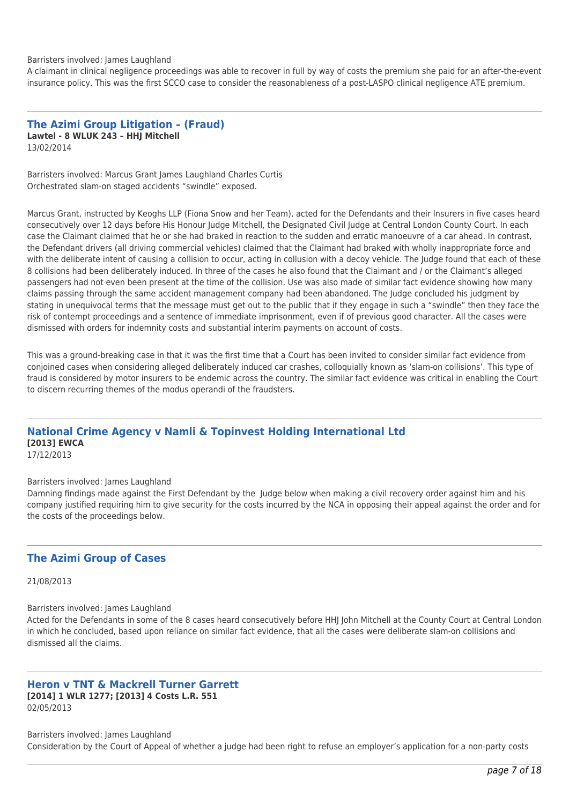#### Barristers involved: James Laughland

A claimant in clinical negligence proceedings was able to recover in full by way of costs the premium she paid for an after-the-event insurance policy. This was the first SCCO case to consider the reasonableness of a post-LASPO clinical negligence ATE premium.

**The Azimi Group Litigation – (Fraud) Lawtel - 8 WLUK 243 – HHJ Mitchell** 13/02/2014

Barristers involved: Marcus Grant James Laughland Charles Curtis Orchestrated slam-on staged accidents "swindle" exposed.

Marcus Grant, instructed by Keoghs LLP (Fiona Snow and her Team), acted for the Defendants and their Insurers in five cases heard consecutively over 12 days before His Honour Judge Mitchell, the Designated Civil Judge at Central London County Court. In each case the Claimant claimed that he or she had braked in reaction to the sudden and erratic manoeuvre of a car ahead. In contrast, the Defendant drivers (all driving commercial vehicles) claimed that the Claimant had braked with wholly inappropriate force and with the deliberate intent of causing a collision to occur, acting in collusion with a decoy vehicle. The Judge found that each of these 8 collisions had been deliberately induced. In three of the cases he also found that the Claimant and / or the Claimant's alleged passengers had not even been present at the time of the collision. Use was also made of similar fact evidence showing how many claims passing through the same accident management company had been abandoned. The Judge concluded his judgment by stating in unequivocal terms that the message must get out to the public that if they engage in such a "swindle" then they face the risk of contempt proceedings and a sentence of immediate imprisonment, even if of previous good character. All the cases were dismissed with orders for indemnity costs and substantial interim payments on account of costs.

This was a ground-breaking case in that it was the first time that a Court has been invited to consider similar fact evidence from conjoined cases when considering alleged deliberately induced car crashes, colloquially known as 'slam-on collisions'. This type of fraud is considered by motor insurers to be endemic across the country. The similar fact evidence was critical in enabling the Court to discern recurring themes of the modus operandi of the fraudsters.

#### **National Crime Agency v Namli & Topinvest Holding International Ltd [2013] EWCA** 17/12/2013

Barristers involved: James Laughland

Damning findings made against the First Defendant by the Judge below when making a civil recovery order against him and his company justified requiring him to give security for the costs incurred by the NCA in opposing their appeal against the order and for the costs of the proceedings below.

### **The Azimi Group of Cases**

21/08/2013

Barristers involved: James Laughland

Acted for the Defendants in some of the 8 cases heard consecutively before HHJ John Mitchell at the County Court at Central London in which he concluded, based upon reliance on similar fact evidence, that all the cases were deliberate slam-on collisions and dismissed all the claims.

#### **Heron v TNT & Mackrell Turner Garrett [2014] 1 WLR 1277; [2013] 4 Costs L.R. 551** 02/05/2013

Barristers involved: James Laughland Consideration by the Court of Appeal of whether a judge had been right to refuse an employer's application for a non-party costs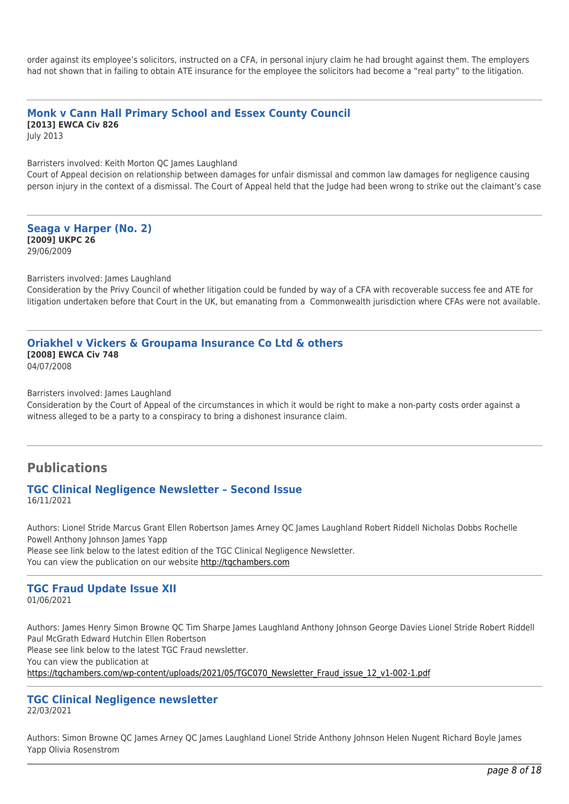order against its employee's solicitors, instructed on a CFA, in personal injury claim he had brought against them. The employers had not shown that in failing to obtain ATE insurance for the employee the solicitors had become a "real party" to the litigation.

# **Monk v Cann Hall Primary School and Essex County Council [2013] EWCA Civ 826**

July 2013

Barristers involved: Keith Morton QC James Laughland

Court of Appeal decision on relationship between damages for unfair dismissal and common law damages for negligence causing person injury in the context of a dismissal. The Court of Appeal held that the Judge had been wrong to strike out the claimant's case

**Seaga v Harper (No. 2) [2009] UKPC 26** 29/06/2009

Barristers involved: James Laughland

Consideration by the Privy Council of whether litigation could be funded by way of a CFA with recoverable success fee and ATE for litigation undertaken before that Court in the UK, but emanating from a Commonwealth jurisdiction where CFAs were not available.

#### **Oriakhel v Vickers & Groupama Insurance Co Ltd & others [2008] EWCA Civ 748** 04/07/2008

Barristers involved: James Laughland

Consideration by the Court of Appeal of the circumstances in which it would be right to make a non-party costs order against a witness alleged to be a party to a conspiracy to bring a dishonest insurance claim.

# **Publications**

#### **TGC Clinical Negligence Newsletter – Second Issue** 16/11/2021

Authors: Lionel Stride Marcus Grant Ellen Robertson James Arney QC James Laughland Robert Riddell Nicholas Dobbs Rochelle Powell Anthony Johnson James Yapp Please see link below to the latest edition of the TGC Clinical Negligence Newsletter. You can view the publication on our website [http://tgchambers.com](https://tgchambers.com/wp-content/uploads/2021/11/TGC073_Clin_Neg_Newsletter_Issue2_v3.pdf)

#### **TGC Fraud Update Issue XII** 01/06/2021

Authors: James Henry Simon Browne QC Tim Sharpe James Laughland Anthony Johnson George Davies Lionel Stride Robert Riddell Paul McGrath Edward Hutchin Ellen Robertson Please see link below to the latest TGC Fraud newsletter. You can view the publication at [https://tgchambers.com/wp-content/uploads/2021/05/TGC070\\_Newsletter\\_Fraud\\_issue\\_12\\_v1-002-1.pdf](https://tgchambers.com/wp-content/uploads/2021/05/TGC070_Newsletter_Fraud_issue_12_v1-002-1.pdf)

# **TGC Clinical Negligence newsletter**

22/03/2021

Authors: Simon Browne QC James Arney QC James Laughland Lionel Stride Anthony Johnson Helen Nugent Richard Boyle James Yapp Olivia Rosenstrom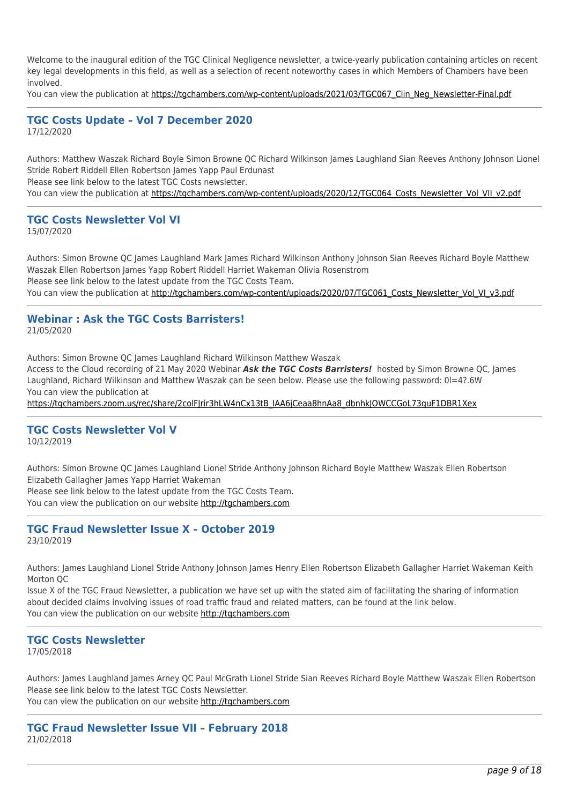Welcome to the inaugural edition of the TGC Clinical Negligence newsletter, a twice-yearly publication containing articles on recent key legal developments in this field, as well as a selection of recent noteworthy cases in which Members of Chambers have been involved.

You can view the publication at [https://tgchambers.com/wp-content/uploads/2021/03/TGC067\\_Clin\\_Neg\\_Newsletter-Final.pdf](https://tgchambers.com/wp-content/uploads/2021/03/TGC067_Clin_Neg_Newsletter-Final.pdf)

#### **TGC Costs Update – Vol 7 December 2020** 17/12/2020

Authors: Matthew Waszak Richard Boyle Simon Browne QC Richard Wilkinson James Laughland Sian Reeves Anthony Johnson Lionel Stride Robert Riddell Ellen Robertson James Yapp Paul Erdunast Please see link below to the latest TGC Costs newsletter.

You can view the publication at https://tgchambers.com/wp-content/uploads/2020/12/TGC064 Costs\_Newsletter\_Vol\_VII\_v2.pdf

#### **TGC Costs Newsletter Vol VI**

15/07/2020

Authors: Simon Browne QC James Laughland Mark James Richard Wilkinson Anthony Johnson Sian Reeves Richard Boyle Matthew Waszak Ellen Robertson James Yapp Robert Riddell Harriet Wakeman Olivia Rosenstrom Please see link below to the latest update from the TGC Costs Team. You can view the publication at [http://tgchambers.com/wp-content/uploads/2020/07/TGC061\\_Costs\\_Newsletter\\_Vol\\_VI\\_v3.pdf](http://tgchambers.com/wp-content/uploads/2020/07/TGC061_Costs_Newsletter_Vol_VI_v3.pdf)

#### **Webinar : Ask the TGC Costs Barristers!** 21/05/2020

Authors: Simon Browne QC James Laughland Richard Wilkinson Matthew Waszak Access to the Cloud recording of 21 May 2020 Webinar *Ask the TGC Costs Barristers!* hosted by Simon Browne QC, James Laughland, Richard Wilkinson and Matthew Waszak can be seen below. Please use the following password: 0l=4?.6W You can view the publication at

[https://tgchambers.zoom.us/rec/share/2colFJrir3hLW4nCx13tB\\_IAA6jCeaa8hnAa8\\_dbnhkJOWCCGoL73quF1DBR1Xex](https://tgchambers.zoom.us/rec/share/2colFJrir3hLW4nCx13tB_IAA6jCeaa8hnAa8_dbnhkJOWCCGoL73quF1DBR1Xex)

# **TGC Costs Newsletter Vol V**

10/12/2019

Authors: Simon Browne QC James Laughland Lionel Stride Anthony Johnson Richard Boyle Matthew Waszak Ellen Robertson Elizabeth Gallagher James Yapp Harriet Wakeman Please see link below to the latest update from the TGC Costs Team.

You can view the publication on our website [http://tgchambers.com](https://tgchambers.com/wp-content/uploads/2019/12/TGC055_Costs_Newsletter_Vol_V_v3.pdf)

### **TGC Fraud Newsletter Issue X – October 2019** 23/10/2019

Authors: James Laughland Lionel Stride Anthony Johnson James Henry Ellen Robertson Elizabeth Gallagher Harriet Wakeman Keith Morton QC

Issue X of the TGC Fraud Newsletter, a publication we have set up with the stated aim of facilitating the sharing of information about decided claims involving issues of road traffic fraud and related matters, can be found at the link below. You can view the publication on our website [http://tgchambers.com](https://tgchambers.com/wp-content/uploads/2019/10/TGC056_Newsletter_Fraud_issue10_v3b.pdf)

# **TGC Costs Newsletter**

17/05/2018

Authors: James Laughland James Arney QC Paul McGrath Lionel Stride Sian Reeves Richard Boyle Matthew Waszak Ellen Robertson Please see link below to the latest TGC Costs Newsletter. You can view the publication on our website [http://tgchambers.com](https://tgchambers.com/wp-content/uploads/2018/05/TGC039_Costs_Newsletter_v2.pdf)

**TGC Fraud Newsletter Issue VII – February 2018** 21/02/2018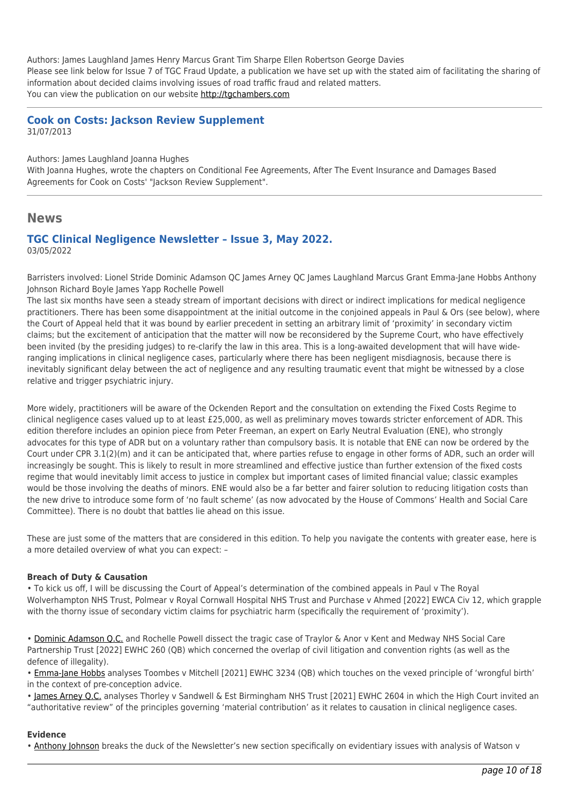Authors: James Laughland James Henry Marcus Grant Tim Sharpe Ellen Robertson George Davies Please see link below for Issue 7 of TGC Fraud Update, a publication we have set up with the stated aim of facilitating the sharing of information about decided claims involving issues of road traffic fraud and related matters. You can view the publication on our website [http://tgchambers.com](https://tgchambers.com/wp-content/uploads/2018/02/TGC032_Newsletter_Fraud_issue7_v2.pdf)

### **Cook on Costs: Jackson Review Supplement** 31/07/2013

Authors: James Laughland Joanna Hughes

With Joanna Hughes, wrote the chapters on Conditional Fee Agreements, After The Event Insurance and Damages Based Agreements for Cook on Costs' "Jackson Review Supplement".

### **News**

### **TGC Clinical Negligence Newsletter – Issue 3, May 2022.** 03/05/2022

Barristers involved: Lionel Stride Dominic Adamson QC James Arney QC James Laughland Marcus Grant Emma-Jane Hobbs Anthony Johnson Richard Boyle James Yapp Rochelle Powell

The last six months have seen a steady stream of important decisions with direct or indirect implications for medical negligence practitioners. There has been some disappointment at the initial outcome in the conjoined appeals in Paul & Ors (see below), where the Court of Appeal held that it was bound by earlier precedent in setting an arbitrary limit of 'proximity' in secondary victim claims; but the excitement of anticipation that the matter will now be reconsidered by the Supreme Court, who have effectively been invited (by the presiding judges) to re-clarify the law in this area. This is a long-awaited development that will have wideranging implications in clinical negligence cases, particularly where there has been negligent misdiagnosis, because there is inevitably significant delay between the act of negligence and any resulting traumatic event that might be witnessed by a close relative and trigger psychiatric injury.

More widely, practitioners will be aware of the Ockenden Report and the consultation on extending the Fixed Costs Regime to clinical negligence cases valued up to at least £25,000, as well as preliminary moves towards stricter enforcement of ADR. This edition therefore includes an opinion piece from Peter Freeman, an expert on Early Neutral Evaluation (ENE), who strongly advocates for this type of ADR but on a voluntary rather than compulsory basis. It is notable that ENE can now be ordered by the Court under CPR 3.1(2)(m) and it can be anticipated that, where parties refuse to engage in other forms of ADR, such an order will increasingly be sought. This is likely to result in more streamlined and effective justice than further extension of the fixed costs regime that would inevitably limit access to justice in complex but important cases of limited financial value; classic examples would be those involving the deaths of minors. ENE would also be a far better and fairer solution to reducing litigation costs than the new drive to introduce some form of 'no fault scheme' (as now advocated by the House of Commons' Health and Social Care Committee). There is no doubt that battles lie ahead on this issue.

These are just some of the matters that are considered in this edition. To help you navigate the contents with greater ease, here is a more detailed overview of what you can expect: –

#### **Breach of Duty & Causation**

• To kick us off, I will be discussing the Court of Appeal's determination of the combined appeals in Paul v The Royal Wolverhampton NHS Trust, Polmear v Royal Cornwall Hospital NHS Trust and Purchase v Ahmed [2022] EWCA Civ 12, which grapple with the thorny issue of secondary victim claims for psychiatric harm (specifically the requirement of 'proximity').

• [Dominic Adamson Q.C.](https://tgchambers.com/member-profile/dominic-adamson/) and Rochelle Powell dissect the tragic case of Traylor & Anor v Kent and Medway NHS Social Care Partnership Trust [2022] EWHC 260 (QB) which concerned the overlap of civil litigation and convention rights (as well as the defence of illegality).

• [Emma-Jane Hobbs](https://tgchambers.com/member-profile/emma-jane-hobbs/) analyses Toombes v Mitchell [2021] EWHC 3234 (QB) which touches on the vexed principle of 'wrongful birth' in the context of pre-conception advice.

• [James Arney Q.C.](https://tgchambers.com/member-profile/james-arney/) analyses Thorley v Sandwell & Est Birmingham NHS Trust [2021] EWHC 2604 in which the High Court invited an "authoritative review" of the principles governing 'material contribution' as it relates to causation in clinical negligence cases.

#### **Evidence**

• [Anthony Johnson](https://tgchambers.com/member-profile/anthony-johnson/) breaks the duck of the Newsletter's new section specifically on evidentiary issues with analysis of Watson v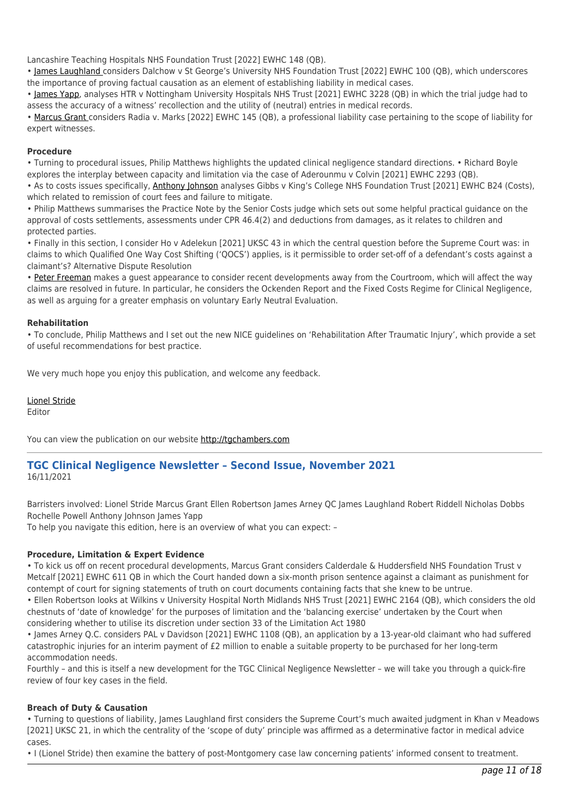Lancashire Teaching Hospitals NHS Foundation Trust [2022] EWHC 148 (QB).

• [James Laughland c](https://tgchambers.com/member-profile/james-laughland/)onsiders Dalchow v St George's University NHS Foundation Trust [2022] EWHC 100 (QB), which underscores the importance of proving factual causation as an element of establishing liability in medical cases.

• [James Yapp,](https://tgchambers.com/member-profile/james-yapp/) analyses HTR v Nottingham University Hospitals NHS Trust [2021] EWHC 3228 (QB) in which the trial judge had to assess the accuracy of a witness' recollection and the utility of (neutral) entries in medical records.

• [Marcus Grant c](https://tgchambers.com/member-profile/marcus-grant/)onsiders Radia v. Marks [2022] EWHC 145 (QB), a professional liability case pertaining to the scope of liability for expert witnesses.

#### **Procedure**

• Turning to procedural issues, Philip Matthews highlights the updated clinical negligence standard directions. • Richard Boyle explores the interplay between capacity and limitation via the case of Aderounmu v Colvin [2021] EWHC 2293 (QB).

• As to costs issues specifically, [Anthony Johnson](https://tgchambers.com/member-profile/anthony-johnson/) analyses Gibbs v King's College NHS Foundation Trust [2021] EWHC B24 (Costs), which related to remission of court fees and failure to mitigate.

• Philip Matthews summarises the Practice Note by the Senior Costs judge which sets out some helpful practical guidance on the approval of costs settlements, assessments under CPR 46.4(2) and deductions from damages, as it relates to children and protected parties.

• Finally in this section, I consider Ho v Adelekun [2021] UKSC 43 in which the central question before the Supreme Court was: in claims to which Qualified One Way Cost Shifting ('QOCS') applies, is it permissible to order set-off of a defendant's costs against a claimant's? Alternative Dispute Resolution

• [Peter Freeman](https://tgchambers.com/member-profile/peter-freeman/) makes a guest appearance to consider recent developments away from the Courtroom, which will affect the way claims are resolved in future. In particular, he considers the Ockenden Report and the Fixed Costs Regime for Clinical Negligence, as well as arguing for a greater emphasis on voluntary Early Neutral Evaluation.

#### **Rehabilitation**

• To conclude, Philip Matthews and I set out the new NICE guidelines on 'Rehabilitation After Traumatic Injury', which provide a set of useful recommendations for best practice.

We very much hope you enjoy this publication, and welcome any feedback.

[Lionel Stride](https://tgchambers.com/member-profile/lionel-stride/)

Editor

You can view the publication on our website [http://tgchambers.com](https://tgchambers.com/wp-content/uploads/2022/05/TGC_Clin_Neg_Newsletter_Issue3_v3b.pdf)

### **TGC Clinical Negligence Newsletter – Second Issue, November 2021** 16/11/2021

Barristers involved: Lionel Stride Marcus Grant Ellen Robertson James Arney QC James Laughland Robert Riddell Nicholas Dobbs Rochelle Powell Anthony Johnson James Yapp

To help you navigate this edition, here is an overview of what you can expect: –

#### **Procedure, Limitation & Expert Evidence**

• To kick us off on recent procedural developments, Marcus Grant considers Calderdale & Huddersfield NHS Foundation Trust v Metcalf [2021] EWHC 611 QB in which the Court handed down a six-month prison sentence against a claimant as punishment for contempt of court for signing statements of truth on court documents containing facts that she knew to be untrue.

• Ellen Robertson looks at Wilkins v University Hospital North Midlands NHS Trust [2021] EWHC 2164 (QB), which considers the old chestnuts of 'date of knowledge' for the purposes of limitation and the 'balancing exercise' undertaken by the Court when considering whether to utilise its discretion under section 33 of the Limitation Act 1980

• James Arney Q.C. considers PAL v Davidson [2021] EWHC 1108 (QB), an application by a 13-year-old claimant who had suffered catastrophic injuries for an interim payment of £2 million to enable a suitable property to be purchased for her long-term accommodation needs.

Fourthly – and this is itself a new development for the TGC Clinical Negligence Newsletter – we will take you through a quick-fire review of four key cases in the field.

#### **Breach of Duty & Causation**

• Turning to questions of liability, James Laughland first considers the Supreme Court's much awaited judgment in Khan v Meadows [2021] UKSC 21, in which the centrality of the 'scope of duty' principle was affirmed as a determinative factor in medical advice cases.

• I (Lionel Stride) then examine the battery of post-Montgomery case law concerning patients' informed consent to treatment.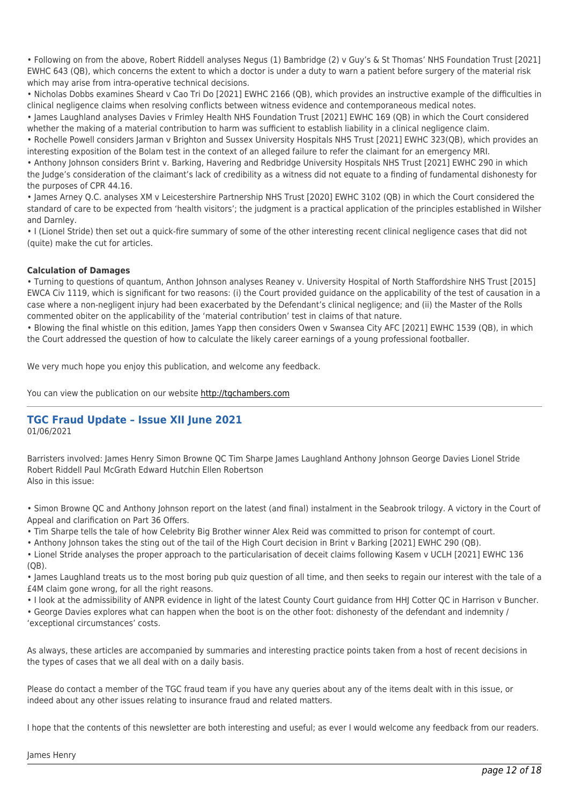• Following on from the above, Robert Riddell analyses Negus (1) Bambridge (2) v Guy's & St Thomas' NHS Foundation Trust [2021] EWHC 643 (QB), which concerns the extent to which a doctor is under a duty to warn a patient before surgery of the material risk which may arise from intra-operative technical decisions.

• Nicholas Dobbs examines Sheard v Cao Tri Do [2021] EWHC 2166 (QB), which provides an instructive example of the difficulties in clinical negligence claims when resolving conflicts between witness evidence and contemporaneous medical notes.

• James Laughland analyses Davies v Frimley Health NHS Foundation Trust [2021] EWHC 169 (QB) in which the Court considered whether the making of a material contribution to harm was sufficient to establish liability in a clinical negligence claim.

• Rochelle Powell considers Jarman v Brighton and Sussex University Hospitals NHS Trust [2021] EWHC 323(QB), which provides an interesting exposition of the Bolam test in the context of an alleged failure to refer the claimant for an emergency MRI.

• Anthony Johnson considers Brint v. Barking, Havering and Redbridge University Hospitals NHS Trust [2021] EWHC 290 in which the Judge's consideration of the claimant's lack of credibility as a witness did not equate to a finding of fundamental dishonesty for the purposes of CPR 44.16.

• James Arney Q.C. analyses XM v Leicestershire Partnership NHS Trust [2020] EWHC 3102 (QB) in which the Court considered the standard of care to be expected from 'health visitors'; the judgment is a practical application of the principles established in Wilsher and Darnley.

• I (Lionel Stride) then set out a quick-fire summary of some of the other interesting recent clinical negligence cases that did not (quite) make the cut for articles.

#### **Calculation of Damages**

• Turning to questions of quantum, Anthon Johnson analyses Reaney v. University Hospital of North Staffordshire NHS Trust [2015] EWCA Civ 1119, which is significant for two reasons: (i) the Court provided guidance on the applicability of the test of causation in a case where a non-negligent injury had been exacerbated by the Defendant's clinical negligence; and (ii) the Master of the Rolls commented obiter on the applicability of the 'material contribution' test in claims of that nature.

• Blowing the final whistle on this edition, James Yapp then considers Owen v Swansea City AFC [2021] EWHC 1539 (QB), in which the Court addressed the question of how to calculate the likely career earnings of a young professional footballer.

We very much hope you enjoy this publication, and welcome any feedback.

You can view the publication on our website [http://tgchambers.com](https://tgchambers.com/wp-content/uploads/2021/11/TGC073_Clin_Neg_Newsletter_Issue2_v3.pdf)

# **TGC Fraud Update – Issue XII June 2021**

01/06/2021

Barristers involved: James Henry Simon Browne QC Tim Sharpe James Laughland Anthony Johnson George Davies Lionel Stride Robert Riddell Paul McGrath Edward Hutchin Ellen Robertson Also in this issue:

• Simon Browne QC and Anthony Johnson report on the latest (and final) instalment in the Seabrook trilogy. A victory in the Court of Appeal and clarification on Part 36 Offers.

• Tim Sharpe tells the tale of how Celebrity Big Brother winner Alex Reid was committed to prison for contempt of court.

• Anthony Johnson takes the sting out of the tail of the High Court decision in Brint v Barking [2021] EWHC 290 (QB).

• Lionel Stride analyses the proper approach to the particularisation of deceit claims following Kasem v UCLH [2021] EWHC 136 (QB).

• James Laughland treats us to the most boring pub quiz question of all time, and then seeks to regain our interest with the tale of a £4M claim gone wrong, for all the right reasons.

• I look at the admissibility of ANPR evidence in light of the latest County Court guidance from HHJ Cotter QC in Harrison v Buncher.

• George Davies explores what can happen when the boot is on the other foot: dishonesty of the defendant and indemnity / 'exceptional circumstances' costs.

As always, these articles are accompanied by summaries and interesting practice points taken from a host of recent decisions in the types of cases that we all deal with on a daily basis.

Please do contact a member of the TGC fraud team if you have any queries about any of the items dealt with in this issue, or indeed about any other issues relating to insurance fraud and related matters.

I hope that the contents of this newsletter are both interesting and useful; as ever I would welcome any feedback from our readers.

James Henry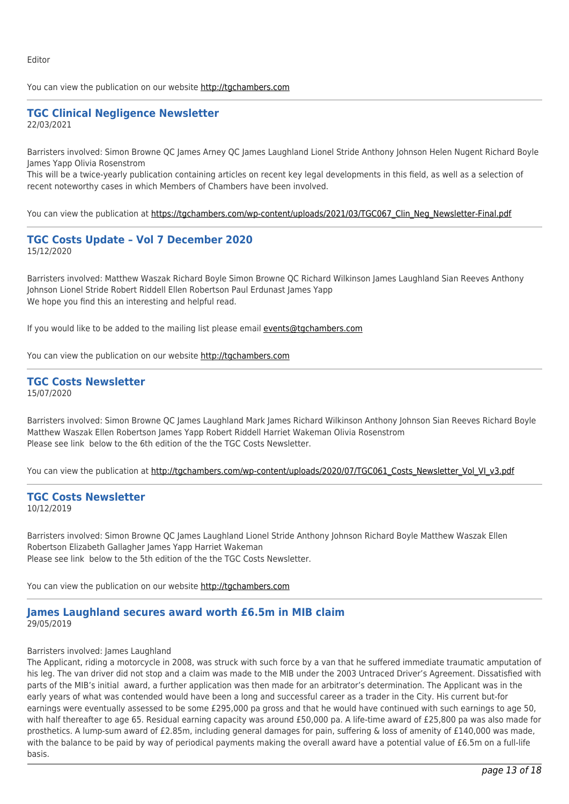Editor

You can view the publication on our website [http://tgchambers.com](https://tgchambers.com/wp-content/uploads/2021/05/TGC070_Newsletter_Fraud_issue_12_v1-002-1.pdf)

### **TGC Clinical Negligence Newsletter** 22/03/2021

Barristers involved: Simon Browne QC James Arney QC James Laughland Lionel Stride Anthony Johnson Helen Nugent Richard Boyle James Yapp Olivia Rosenstrom

This will be a twice-yearly publication containing articles on recent key legal developments in this field, as well as a selection of recent noteworthy cases in which Members of Chambers have been involved.

You can view the publication at [https://tgchambers.com/wp-content/uploads/2021/03/TGC067\\_Clin\\_Neg\\_Newsletter-Final.pdf](https://tgchambers.com/wp-content/uploads/2021/03/TGC067_Clin_Neg_Newsletter-Final.pdf)

### **TGC Costs Update – Vol 7 December 2020** 15/12/2020

Barristers involved: Matthew Waszak Richard Boyle Simon Browne QC Richard Wilkinson James Laughland Sian Reeves Anthony Johnson Lionel Stride Robert Riddell Ellen Robertson Paul Erdunast James Yapp We hope you find this an interesting and helpful read.

If you would like to be added to the mailing list please email [events@tgchambers.com](mailto:events@tgchambers.com)

You can view the publication on our website [http://tgchambers.com](https://tgchambers.com/wp-content/uploads/2020/12/TGC064_Costs_Newsletter_Vol_VII_v2.pdf)

#### **TGC Costs Newsletter** 15/07/2020

Barristers involved: Simon Browne QC James Laughland Mark James Richard Wilkinson Anthony Johnson Sian Reeves Richard Boyle Matthew Waszak Ellen Robertson James Yapp Robert Riddell Harriet Wakeman Olivia Rosenstrom Please see link below to the 6th edition of the the TGC Costs Newsletter.

You can view the publication at [http://tgchambers.com/wp-content/uploads/2020/07/TGC061\\_Costs\\_Newsletter\\_Vol\\_VI\\_v3.pdf](http://tgchambers.com/wp-content/uploads/2020/07/TGC061_Costs_Newsletter_Vol_VI_v3.pdf)

#### **TGC Costs Newsletter** 10/12/2019

Barristers involved: Simon Browne QC James Laughland Lionel Stride Anthony Johnson Richard Boyle Matthew Waszak Ellen Robertson Elizabeth Gallagher James Yapp Harriet Wakeman Please see link below to the 5th edition of the the TGC Costs Newsletter.

You can view the publication on our website [http://tgchambers.com](https://tgchambers.com/wp-content/uploads/2019/12/TGC055_Costs_Newsletter_Vol_V_v3.pdf)

#### **James Laughland secures award worth £6.5m in MIB claim** 29/05/2019

#### Barristers involved: James Laughland

The Applicant, riding a motorcycle in 2008, was struck with such force by a van that he suffered immediate traumatic amputation of his leg. The van driver did not stop and a claim was made to the MIB under the 2003 Untraced Driver's Agreement. Dissatisfied with parts of the MIB's initial award, a further application was then made for an arbitrator's determination. The Applicant was in the early years of what was contended would have been a long and successful career as a trader in the City. His current but-for earnings were eventually assessed to be some £295,000 pa gross and that he would have continued with such earnings to age 50, with half thereafter to age 65. Residual earning capacity was around £50,000 pa. A life-time award of £25,800 pa was also made for prosthetics. A lump-sum award of £2.85m, including general damages for pain, suffering & loss of amenity of £140,000 was made, with the balance to be paid by way of periodical payments making the overall award have a potential value of £6.5m on a full-life basis.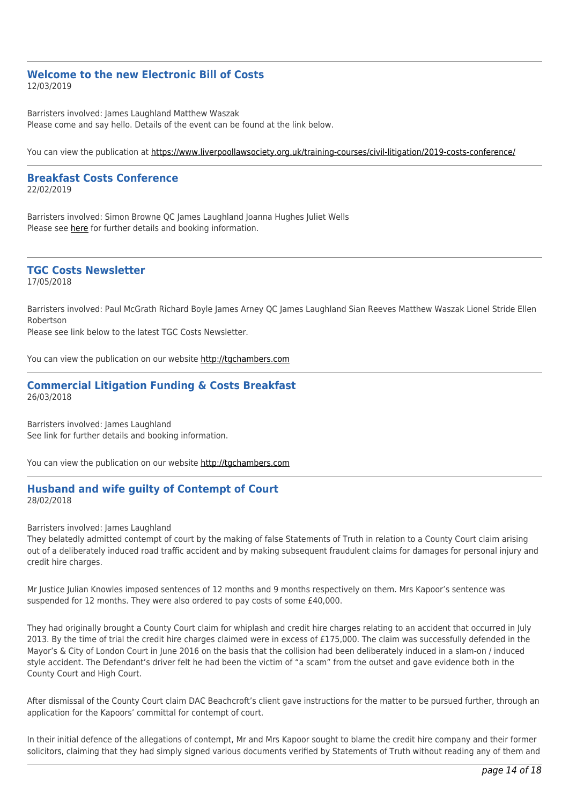#### **Welcome to the new Electronic Bill of Costs** 12/03/2019

Barristers involved: James Laughland Matthew Waszak Please come and say hello. Details of the event can be found at the link below.

You can view the publication at<https://www.liverpoollawsociety.org.uk/training-courses/civil-litigation/2019-costs-conference/>

#### **Breakfast Costs Conference** 22/02/2019

Barristers involved: Simon Browne QC James Laughland Joanna Hughes Juliet Wells Please see [here](http://tgchambers.com/wp-content/uploads/2019/02/Breackfast_costs_seminar_v3.pdf) for further details and booking information.

# **TGC Costs Newsletter**

17/05/2018

Barristers involved: Paul McGrath Richard Boyle James Arney QC James Laughland Sian Reeves Matthew Waszak Lionel Stride Ellen Robertson

Please see link below to the latest TGC Costs Newsletter.

You can view the publication on our website [http://tgchambers.com](https://tgchambers.com/wp-content/uploads/2018/05/TGC039_Costs_Newsletter_v2.pdf)

### **Commercial Litigation Funding & Costs Breakfast** 26/03/2018

Barristers involved: James Laughland See link for further details and booking information.

You can view the publication on our website [http://tgchambers.com](https://tgchambers.com/wp-content/uploads/2018/03/COMMERCIAL-LITIGATION-FUNDING-COSTS-BREAKFAST.pdf)

### **Husband and wife guilty of Contempt of Court** 28/02/2018

Barristers involved: James Laughland

They belatedly admitted contempt of court by the making of false Statements of Truth in relation to a County Court claim arising out of a deliberately induced road traffic accident and by making subsequent fraudulent claims for damages for personal injury and credit hire charges.

Mr Justice Julian Knowles imposed sentences of 12 months and 9 months respectively on them. Mrs Kapoor's sentence was suspended for 12 months. They were also ordered to pay costs of some £40,000.

They had originally brought a County Court claim for whiplash and credit hire charges relating to an accident that occurred in July 2013. By the time of trial the credit hire charges claimed were in excess of £175,000. The claim was successfully defended in the Mayor's & City of London Court in June 2016 on the basis that the collision had been deliberately induced in a slam-on / induced style accident. The Defendant's driver felt he had been the victim of "a scam" from the outset and gave evidence both in the County Court and High Court.

After dismissal of the County Court claim DAC Beachcroft's client gave instructions for the matter to be pursued further, through an application for the Kapoors' committal for contempt of court.

In their initial defence of the allegations of contempt, Mr and Mrs Kapoor sought to blame the credit hire company and their former solicitors, claiming that they had simply signed various documents verified by Statements of Truth without reading any of them and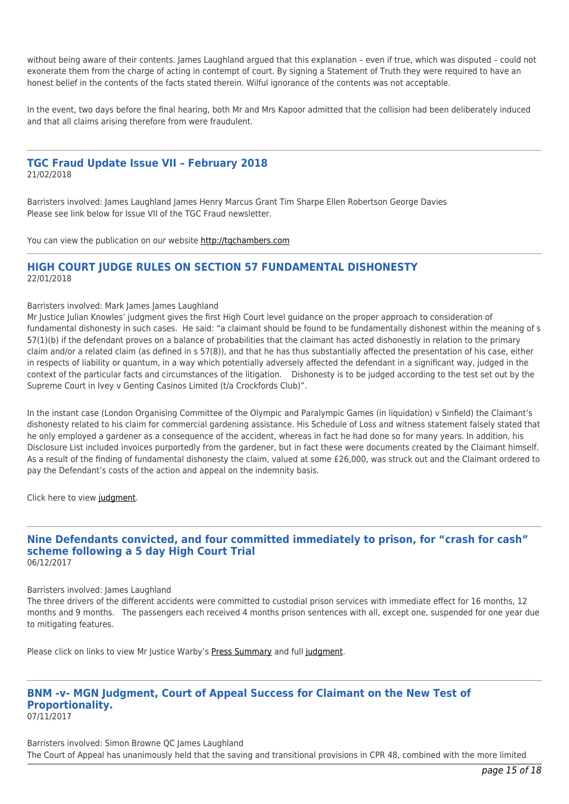without being aware of their contents. James Laughland argued that this explanation – even if true, which was disputed – could not exonerate them from the charge of acting in contempt of court. By signing a Statement of Truth they were required to have an honest belief in the contents of the facts stated therein. Wilful ignorance of the contents was not acceptable.

In the event, two days before the final hearing, both Mr and Mrs Kapoor admitted that the collision had been deliberately induced and that all claims arising therefore from were fraudulent.

# **TGC Fraud Update Issue VII – February 2018**

21/02/2018

Barristers involved: James Laughland James Henry Marcus Grant Tim Sharpe Ellen Robertson George Davies Please see link below for Issue VII of the TGC Fraud newsletter.

You can view the publication on our website [http://tgchambers.com](https://tgchambers.com/wp-content/uploads/2018/02/TGC032_Newsletter_Fraud_issue7_v2.pdf)

## **HIGH COURT JUDGE RULES ON SECTION 57 FUNDAMENTAL DISHONESTY** 22/01/2018

#### Barristers involved: Mark James James Laughland

Mr Justice Julian Knowles' judgment gives the first High Court level guidance on the proper approach to consideration of fundamental dishonesty in such cases. He said: "a claimant should be found to be fundamentally dishonest within the meaning of s 57(1)(b) if the defendant proves on a balance of probabilities that the claimant has acted dishonestly in relation to the primary claim and/or a related claim (as defined in s 57(8)), and that he has thus substantially affected the presentation of his case, either in respects of liability or quantum, in a way which potentially adversely affected the defendant in a significant way, judged in the context of the particular facts and circumstances of the litigation. Dishonesty is to be judged according to the test set out by the Supreme Court in Ivey v Genting Casinos Limited (t/a Crockfords Club)".

In the instant case (London Organising Committee of the Olympic and Paralympic Games (in liquidation) v Sinfield) the Claimant's dishonesty related to his claim for commercial gardening assistance. His Schedule of Loss and witness statement falsely stated that he only employed a gardener as a consequence of the accident, whereas in fact he had done so for many years. In addition, his Disclosure List included invoices purportedly from the gardener, but in fact these were documents created by the Claimant himself. As a result of the finding of fundamental dishonesty the claim, valued at some £26,000, was struck out and the Claimant ordered to pay the Defendant's costs of the action and appeal on the indemnity basis.

Click here to view [judgment.](http://tgchambers.com/wp-content/uploads/2018/01/Judgment-22.01.18.pdf)

#### **Nine Defendants convicted, and four committed immediately to prison, for "crash for cash" scheme following a 5 day High Court Trial** 06/12/2017

# Barristers involved: James Laughland

The three drivers of the different accidents were committed to custodial prison services with immediate effect for 16 months, 12 months and 9 months. The passengers each received 4 months prison sentences with all, except one, suspended for one year due to mitigating features.

Please click on links to view Mr Justice Warby's [Press Summary](http://tgchambers.com/wp-content/uploads/2017/12/Press-Summary.pdf) and full [judgment.](http://tgchambers.com/wp-content/uploads/2017/12/Liverpool-Victoria-v-Yavuz-2017-EWHC-3099-QB-rev-1-Approved-final.pdf)

#### **BNM -v- MGN Judgment, Court of Appeal Success for Claimant on the New Test of Proportionality.** 07/11/2017

Barristers involved: Simon Browne QC James Laughland The Court of Appeal has unanimously held that the saving and transitional provisions in CPR 48, combined with the more limited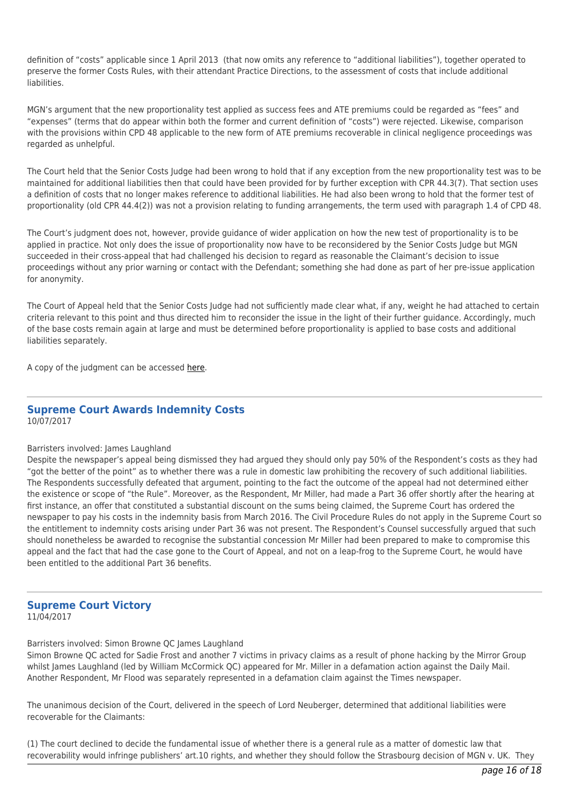definition of "costs" applicable since 1 April 2013 (that now omits any reference to "additional liabilities"), together operated to preserve the former Costs Rules, with their attendant Practice Directions, to the assessment of costs that include additional liabilities.

MGN's argument that the new proportionality test applied as success fees and ATE premiums could be regarded as "fees" and "expenses" (terms that do appear within both the former and current definition of "costs") were rejected. Likewise, comparison with the provisions within CPD 48 applicable to the new form of ATE premiums recoverable in clinical negligence proceedings was regarded as unhelpful.

The Court held that the Senior Costs Judge had been wrong to hold that if any exception from the new proportionality test was to be maintained for additional liabilities then that could have been provided for by further exception with CPR 44.3(7). That section uses a definition of costs that no longer makes reference to additional liabilities. He had also been wrong to hold that the former test of proportionality (old CPR 44.4(2)) was not a provision relating to funding arrangements, the term used with paragraph 1.4 of CPD 48.

The Court's judgment does not, however, provide guidance of wider application on how the new test of proportionality is to be applied in practice. Not only does the issue of proportionality now have to be reconsidered by the Senior Costs Judge but MGN succeeded in their cross-appeal that had challenged his decision to regard as reasonable the Claimant's decision to issue proceedings without any prior warning or contact with the Defendant; something she had done as part of her pre-issue application for anonymity.

The Court of Appeal held that the Senior Costs Judge had not sufficiently made clear what, if any, weight he had attached to certain criteria relevant to this point and thus directed him to reconsider the issue in the light of their further guidance. Accordingly, much of the base costs remain again at large and must be determined before proportionality is applied to base costs and additional liabilities separately.

A copy of the judgment can be accessed [here](http://tgchambers.com/wp-content/uploads/2017/11/BNM-v-MGN-Final.pdf).

#### **Supreme Court Awards Indemnity Costs** 10/07/2017

#### Barristers involved: James Laughland

Despite the newspaper's appeal being dismissed they had argued they should only pay 50% of the Respondent's costs as they had "got the better of the point" as to whether there was a rule in domestic law prohibiting the recovery of such additional liabilities. The Respondents successfully defeated that argument, pointing to the fact the outcome of the appeal had not determined either the existence or scope of "the Rule". Moreover, as the Respondent, Mr Miller, had made a Part 36 offer shortly after the hearing at first instance, an offer that constituted a substantial discount on the sums being claimed, the Supreme Court has ordered the newspaper to pay his costs in the indemnity basis from March 2016. The Civil Procedure Rules do not apply in the Supreme Court so the entitlement to indemnity costs arising under Part 36 was not present. The Respondent's Counsel successfully argued that such should nonetheless be awarded to recognise the substantial concession Mr Miller had been prepared to make to compromise this appeal and the fact that had the case gone to the Court of Appeal, and not on a leap-frog to the Supreme Court, he would have been entitled to the additional Part 36 benefits.

#### **Supreme Court Victory** 11/04/2017

Barristers involved: Simon Browne QC James Laughland

Simon Browne QC acted for Sadie Frost and another 7 victims in privacy claims as a result of phone hacking by the Mirror Group whilst James Laughland (led by William McCormick OC) appeared for Mr. Miller in a defamation action against the Daily Mail. Another Respondent, Mr Flood was separately represented in a defamation claim against the Times newspaper.

The unanimous decision of the Court, delivered in the speech of Lord Neuberger, determined that additional liabilities were recoverable for the Claimants:

(1) The court declined to decide the fundamental issue of whether there is a general rule as a matter of domestic law that recoverability would infringe publishers' art.10 rights, and whether they should follow the Strasbourg decision of MGN v. UK. They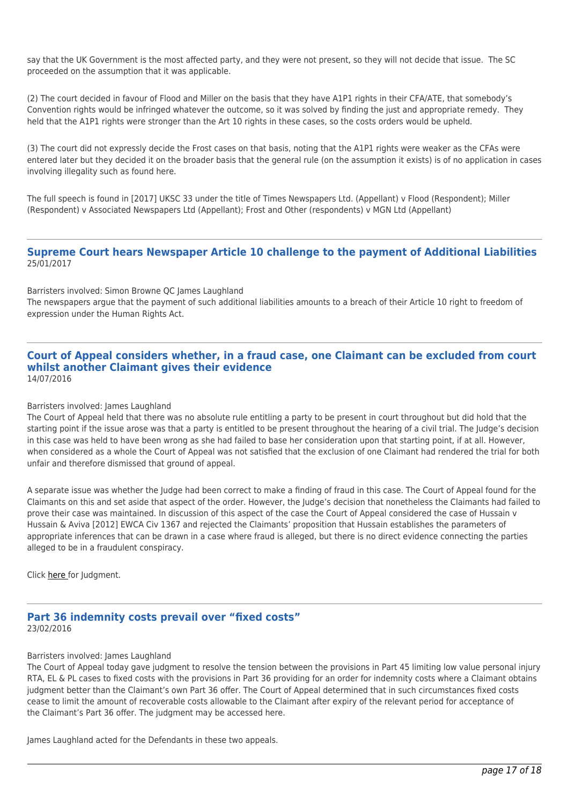say that the UK Government is the most affected party, and they were not present, so they will not decide that issue. The SC proceeded on the assumption that it was applicable.

(2) The court decided in favour of Flood and Miller on the basis that they have A1P1 rights in their CFA/ATE, that somebody's Convention rights would be infringed whatever the outcome, so it was solved by finding the just and appropriate remedy. They held that the A1P1 rights were stronger than the Art 10 rights in these cases, so the costs orders would be upheld.

(3) The court did not expressly decide the Frost cases on that basis, noting that the A1P1 rights were weaker as the CFAs were entered later but they decided it on the broader basis that the general rule (on the assumption it exists) is of no application in cases involving illegality such as found here.

The full speech is found in [2017] UKSC 33 under the title of Times Newspapers Ltd. (Appellant) v Flood (Respondent); Miller (Respondent) v Associated Newspapers Ltd (Appellant); Frost and Other (respondents) v MGN Ltd (Appellant)

#### **Supreme Court hears Newspaper Article 10 challenge to the payment of Additional Liabilities** 25/01/2017

Barristers involved: Simon Browne QC James Laughland The newspapers argue that the payment of such additional liabilities amounts to a breach of their Article 10 right to freedom of expression under the Human Rights Act.

#### **Court of Appeal considers whether, in a fraud case, one Claimant can be excluded from court whilst another Claimant gives their evidence** 14/07/2016

#### Barristers involved: James Laughland

The Court of Appeal held that there was no absolute rule entitling a party to be present in court throughout but did hold that the starting point if the issue arose was that a party is entitled to be present throughout the hearing of a civil trial. The Judge's decision in this case was held to have been wrong as she had failed to base her consideration upon that starting point, if at all. However, when considered as a whole the Court of Appeal was not satisfied that the exclusion of one Claimant had rendered the trial for both unfair and therefore dismissed that ground of appeal.

A separate issue was whether the Judge had been correct to make a finding of fraud in this case. The Court of Appeal found for the Claimants on this and set aside that aspect of the order. However, the Judge's decision that nonetheless the Claimants had failed to prove their case was maintained. In discussion of this aspect of the case the Court of Appeal considered the case of Hussain v Hussain & Aviva [2012] EWCA Civ 1367 and rejected the Claimants' proposition that Hussain establishes the parameters of appropriate inferences that can be drawn in a case where fraud is alleged, but there is no direct evidence connecting the parties alleged to be in a fraudulent conspiracy.

Click [here](http://tgchambers.com/wp-content/uploads/2016/07/Da-Costa-final-approved-14-7-16.pdf) for Judgment.

# **Part 36 indemnity costs prevail over "fixed costs"** 23/02/2016

#### Barristers involved: James Laughland

The Court of Appeal today gave judgment to resolve the tension between the provisions in Part 45 limiting low value personal injury RTA, EL & PL cases to fixed costs with the provisions in Part 36 providing for an order for indemnity costs where a Claimant obtains judgment better than the Claimant's own Part 36 offer. The Court of Appeal determined that in such circumstances fixed costs cease to limit the amount of recoverable costs allowable to the Claimant after expiry of the relevant period for acceptance of the Claimant's Part 36 offer. The judgment may be accessed here.

James Laughland acted for the Defendants in these two appeals.